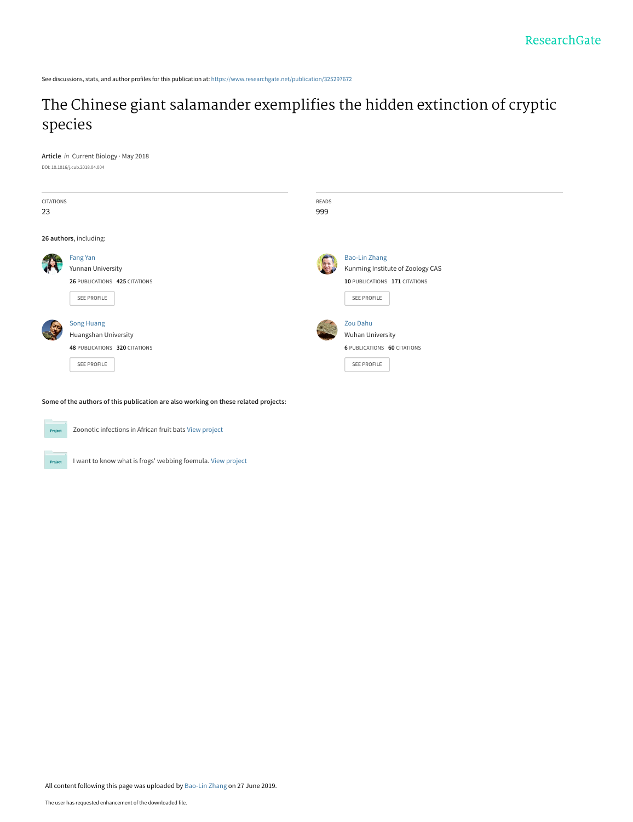See discussions, stats, and author profiles for this publication at: [https://www.researchgate.net/publication/325297672](https://www.researchgate.net/publication/325297672_The_Chinese_giant_salamander_exemplifies_the_hidden_extinction_of_cryptic_species?enrichId=rgreq-29fb75e8681fb71394205f8d83d246f6-XXX&enrichSource=Y292ZXJQYWdlOzMyNTI5NzY3MjtBUzo3NzQzMjYzNDk0NjM1NTZAMTU2MTYyNTE5Njc1Mw%3D%3D&el=1_x_2&_esc=publicationCoverPdf)

# [The Chinese giant salamander exemplifies the hidden extinction of cryptic](https://www.researchgate.net/publication/325297672_The_Chinese_giant_salamander_exemplifies_the_hidden_extinction_of_cryptic_species?enrichId=rgreq-29fb75e8681fb71394205f8d83d246f6-XXX&enrichSource=Y292ZXJQYWdlOzMyNTI5NzY3MjtBUzo3NzQzMjYzNDk0NjM1NTZAMTU2MTYyNTE5Njc1Mw%3D%3D&el=1_x_3&_esc=publicationCoverPdf) species

**Article** in Current Biology · May 2018 DOI: 10.1016/j.cub.2018.04.004

| CITATIONS<br>23        |                               | READS<br>999 |                                    |
|------------------------|-------------------------------|--------------|------------------------------------|
|                        |                               |              |                                    |
| 26 authors, including: |                               |              |                                    |
|                        | Fang Yan                      |              | <b>Bao-Lin Zhang</b>               |
|                        | Yunnan University             |              | Kunming Institute of Zoology CAS   |
|                        | 26 PUBLICATIONS 425 CITATIONS |              | 10 PUBLICATIONS 171 CITATIONS      |
|                        | SEE PROFILE                   |              | SEE PROFILE                        |
|                        | <b>Song Huang</b>             |              | Zou Dahu                           |
|                        | Huangshan University          |              | Wuhan University                   |
|                        | 48 PUBLICATIONS 320 CITATIONS |              | <b>6 PUBLICATIONS 60 CITATIONS</b> |
|                        | SEE PROFILE                   |              | SEE PROFILE                        |
|                        |                               |              |                                    |

**Some of the authors of this publication are also working on these related projects:**



Project

Zoonotic infections in African fruit bats [View project](https://www.researchgate.net/project/Zoonotic-infections-in-African-fruit-bats?enrichId=rgreq-29fb75e8681fb71394205f8d83d246f6-XXX&enrichSource=Y292ZXJQYWdlOzMyNTI5NzY3MjtBUzo3NzQzMjYzNDk0NjM1NTZAMTU2MTYyNTE5Njc1Mw%3D%3D&el=1_x_9&_esc=publicationCoverPdf)

I want to know what is frogs' webbing foemula. [View project](https://www.researchgate.net/project/I-want-to-know-what-is-frogs-webbing-foemula?enrichId=rgreq-29fb75e8681fb71394205f8d83d246f6-XXX&enrichSource=Y292ZXJQYWdlOzMyNTI5NzY3MjtBUzo3NzQzMjYzNDk0NjM1NTZAMTU2MTYyNTE5Njc1Mw%3D%3D&el=1_x_9&_esc=publicationCoverPdf)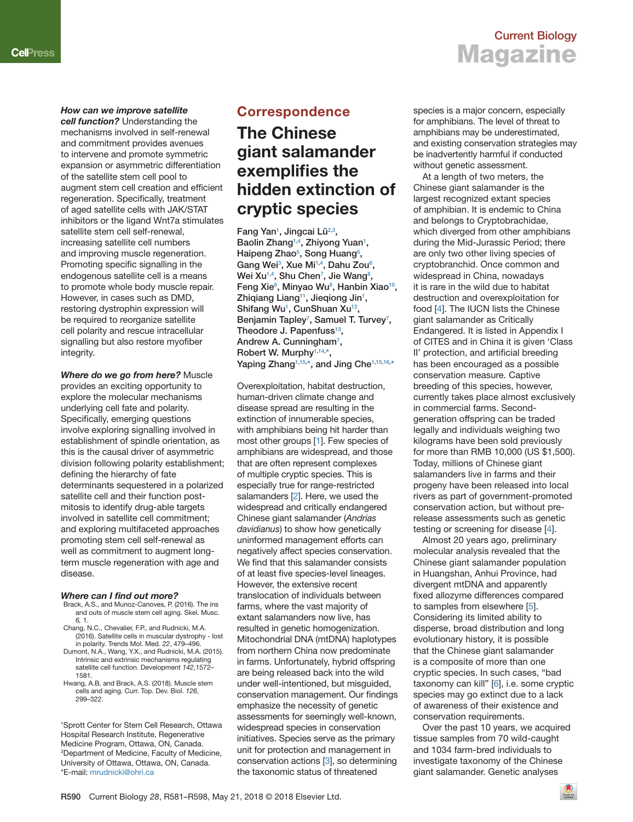### **Current Biology Magazine**

### *How can we improve satellite*

*cell function?* Understanding the mechanisms involved in self-renewal and commitment provides avenues to intervene and promote symmetric expansion or asymmetric differentiation of the satellite stem cell pool to augment stem cell creation and efficient regeneration. Specifically, treatment of aged satellite cells with JAK/STAT inhibitors or the ligand Wnt7a stimulates satellite stem cell self-renewal, increasing satellite cell numbers and improving muscle regeneration. Promoting specific signalling in the endogenous satellite cell is a means to promote whole body muscle repair. However, in cases such as DMD, restoring dystrophin expression will be required to reorganize satellite cell polarity and rescue intracellular signalling but also restore myofiber integrity.

*Where do we go from here?* Muscle provides an exciting opportunity to explore the molecular mechanisms underlying cell fate and polarity. Specifically, emerging questions involve exploring signalling involved in establishment of spindle orientation, as this is the causal driver of asymmetric division following polarity establishment; defining the hierarchy of fate determinants sequestered in a polarized satellite cell and their function postmitosis to identify drug-able targets involved in satellite cell commitment; and exploring multifaceted approaches promoting stem cell self-renewal as well as commitment to augment longterm muscle regeneration with age and disease.

#### *Where can I find out more?*

- Brack, A.S., and Munoz-Canoves, P. (2016). The ins and outs of muscle stem cell aging. Skel. Musc. *6,* 1.
- Chang, N.C., Chevalier, F.P., and Rudnicki, M.A. (2016). Satellite cells in muscular dystrophy - lost in polarity. Trends Mol. Med. *22*, 479–496.
- Dumont, N.A., Wang, Y.X., and Rudnicki, M.A. (2015). Intrinsic and extrinsic mechanisms regulating satellite cell function. Development *142*,1572– 1581.
- Hwang, A.B, and Brack, A.S. (2018). Muscle stem cells and aging. Curr. Top. Dev. Biol. *126*, 299–322.

1 Sprott Center for Stem Cell Research, Ottawa Hospital Research Institute, Regenerative Medicine Program, Ottawa, ON, Canada. 2 Department of Medicine, Faculty of Medicine, University of Ottawa, Ottawa, ON, Canada. \*E-mail: [mrudnicki@ohri.ca](mailto:mrudnicki@ohri.ca) 

### **Correspondence**

## **The Chinese giant salamander exemplifies the hidden extinction of cryptic species**

Fang Yan<sup>1</sup>, Jingcai Lü<sup>2,3</sup>, Baolin Zhang<sup>1,4</sup>, Zhiyong Yuan<sup>1</sup>, **Haipeng Zhao[5](#page-3-0) , Song Huan[g6](#page-3-0) ,** Gang Wei<sup>3</sup>, Xue Mi<sup>[1,4](#page-3-0)</sup>, Dahu Zou<sup>6</sup>, **Wei X[u1,4](#page-3-0) , Shu Che[n7](#page-3-0) , Jie Wan[g8](#page-3-0) , Feng Xi[e8](#page-3-0) , Minyao W[u9](#page-3-0) , Hanbin Xiao[10,](#page-3-0) Zhiqiang Lian[g11](#page-3-0), Jieqiong Ji[n1](#page-3-0) , Shifang W[u1](#page-3-0) , CunShuan Xu[12,](#page-3-0)** Benjamin Tapley<sup>7</sup>, Samuel T. Turvey<sup>7</sup>, **Theodore J. Papenfuss[13,](#page-3-0)** Andrew A. Cunningham<sup>7</sup>, **Robert W. Murph[y1,14](#page-3-0), [\\*,](#page-3-0)** Yaping Zhang<sup>1,[15](#page-3-0),\*</sup>, and Jing Che<sup>1,15,[16](#page-3-0),\*</sup>

Overexploitation, habitat destruction, human-driven climate change and disease spread are resulting in the extinction of innumerable species, with amphibians being hit harder than most other groups [\[1\]](#page-2-0). Few species of amphibians are widespread, and those that are often represent complexes of multiple cryptic species. This is especially true for range-restricted salamanders [\[2\]](#page-2-0). Here, we used the widespread and critically endangered Chinese giant salamander (*Andrias davidianus*) to show how genetically uninformed management efforts can negatively affect species conservation. We find that this salamander consists of at least five species-level lineages. However, the extensive recent translocation of individuals between farms, where the vast majority of extant salamanders now live, has resulted in genetic homogenization. Mitochondrial DNA (mtDNA) haplotypes from northern China now predominate in farms. Unfortunately, hybrid offspring are being released back into the wild under well-intentioned, but misguided, conservation management. Our findings emphasize the necessity of genetic assessments for seemingly well-known, widespread species in conservation initiatives. Species serve as the primary unit for protection and management in conservation actions [\[3\]](#page-2-0), so determining the taxonomic status of threatened

species is a major concern, especially for amphibians. The level of threat to amphibians may be underestimated, and existing conservation strategies may be inadvertently harmful if conducted without genetic assessment.

At a length of two meters, the Chinese giant salamander is the largest recognized extant species of amphibian. It is endemic to China and belongs to Cryptobrachidae, which diverged from other amphibians during the Mid-Jurassic Period; there are only two other living species of cryptobranchid. Once common and widespread in China, nowadays it is rare in the wild due to habitat destruction and overexploitation for food [\[4\]](#page-3-0). The IUCN lists the Chinese giant salamander as Critically Endangered. It is listed in Appendix I of CITES and in China it is given 'Class II' protection, and artificial breeding has been encouraged as a possible conservation measure. Captive breeding of this species, however, currently takes place almost exclusively in commercial farms. Secondgeneration offspring can be traded legally and individuals weighing two kilograms have been sold previously for more than RMB 10,000 (US \$1,500). Today, millions of Chinese giant salamanders live in farms and their progeny have been released into local rivers as part of government-promoted conservation action, but without prerelease assessments such as genetic testing or screening for disease [\[4\]](#page-3-0).

Almost 20 years ago, preliminary molecular analysis revealed that the Chinese giant salamander population in Huangshan, Anhui Province, had divergent mtDNA and apparently fixed allozyme differences compared to samples from elsewhere [\[5\]](#page-3-0). Considering its limited ability to disperse, broad distribution and long evolutionary history, it is possible that the Chinese giant salamander is a composite of more than one cryptic species. In such cases, "bad taxonomy can kill" [\[6\]](#page-3-0), i.e. some cryptic species may go extinct due to a lack of awareness of their existence and conservation requirements.

Over the past 10 years, we acquired tissue samples from 70 wild-caught and 1034 farm-bred individuals to investigate taxonomy of the Chinese giant salamander. Genetic analyses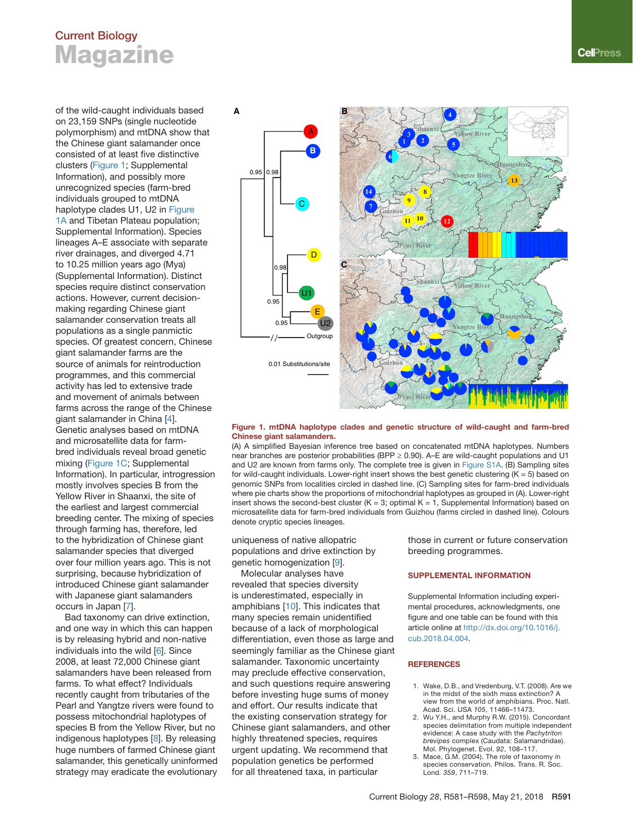# <span id="page-2-0"></span>**Current Biology Magazine**

of the wild-caught individuals based on 23,159 SNPs (single nucleotide polymorphism) and mtDNA show that the Chinese giant salamander once consisted of at least five distinctive clusters (Figure 1; Supplemental Information), and possibly more unrecognized species (farm-bred individuals grouped to mtDNA haplotype clades U1, U2 in Figure 1A and Tibetan Plateau population; Supplemental Information). Species lineages A–E associate with separate river drainages, and diverged 4.71 to 10.25 million years ago (Mya) (Supplemental Information). Distinct species require distinct conservation actions. However, current decisionmaking regarding Chinese giant salamander conservation treats all populations as a single panmictic species. Of greatest concern, Chinese giant salamander farms are the source of animals for reintroduction programmes, and this commercial activity has led to extensive trade and movement of animals between farms across the range of the Chinese giant salamander in China [\[4\]](#page-3-0). Genetic analyses based on mtDNA and microsatellite data for farmbred individuals reveal broad genetic mixing (Figure 1C; Supplemental Information). In particular, introgression mostly involves species B from the Yellow River in Shaanxi, the site of the earliest and largest commercial breeding center. The mixing of species through farming has, therefore, led to the hybridization of Chinese giant salamander species that diverged over four million years ago. This is not surprising, because hybridization of introduced Chinese giant salamander with Japanese giant salamanders occurs in Japan [[7\]](#page-3-0).

Bad taxonomy can drive extinction, and one way in which this can happen is by releasing hybrid and non-native individuals into the wild [[6\]](#page-3-0). Since 2008, at least 72,000 Chinese giant salamanders have been released from farms. To what effect? Individuals recently caught from tributaries of the Pearl and Yangtze rivers were found to possess mitochondrial haplotypes of species B from the Yellow River, but no indigenous haplotypes [\[8\]](#page-3-0). By releasing huge numbers of farmed Chinese giant salamander, this genetically uninformed strategy may eradicate the evolutionary



#### **Figure 1. mtDNA haplotype clades and genetic structure of wild-caught and farm-bred Chinese giant salamanders.**

(A) A simplified Bayesian inference tree based on concatenated mtDNA haplotypes. Numbers near branches are posterior probabilities (BPP  $\geq$  0.90). A–E are wild-caught populations and U1 and U2 are known from farms only. The complete tree is given in Figure S1A. (B) Sampling sites for wild-caught individuals. Lower-right insert shows the best genetic clustering  $(K = 5)$  based on genomic SNPs from localities circled in dashed line. (C) Sampling sites for farm-bred individuals where pie charts show the proportions of mitochondrial haplotypes as grouped in (A). Lower-right insert shows the second-best cluster ( $K = 3$ ; optimal  $K = 1$ , Supplemental Information) based on microsatellite data for farm-bred individuals from Guizhou (farms circled in dashed line). Colours denote cryptic species lineages.

uniqueness of native allopatric populations and drive extinction by genetic homogenization [\[9\]](#page-3-0).

Molecular analyses have revealed that species diversity is underestimated, especially in amphibians [[10\]](#page-3-0). This indicates that many species remain unidentified because of a lack of morphological differentiation, even those as large and seemingly familiar as the Chinese giant salamander. Taxonomic uncertainty may preclude effective conservation, and such questions require answering before investing huge sums of money and effort. Our results indicate that the existing conservation strategy for Chinese giant salamanders, and other highly threatened species, requires urgent updating. We recommend that population genetics be performed for all threatened taxa, in particular

those in current or future conservation breeding programmes.

#### **SUPPLEMENTAL INFORMATION**

Supplemental Information including experimental procedures, acknowledgments, one figure and one table can be found with this article online at [http://dx.doi.org/10.1016/j.](http://dx.doi.org/10.1016/j.cub.2018.04.004)  [cub.2018.04.004.](http://dx.doi.org/10.1016/j.cub.2018.04.004)

#### **REFERENCES**

- 1. Wake, D.B., and Vredenburg, V.T. (2008). Are we in the midst of the sixth mass extinction? A view from the world of amphibians. Proc. Natl. Acad. Sci. USA *105*, 11466–11473.
- 2. Wu Y.H., and Murphy R.W. (2015). Concordant species delimitation from multiple independent evidence: A case study with the *Pachytriton brevipes* complex (Caudata: Salamandridae). Mol. Phylogenet. Evol. *92*, 108–117.
- 3. Mace, G.M. (2004). The role of taxonomy in species conservation. Philos. Trans. R. Soc. Lond*. 359*, 711–719.